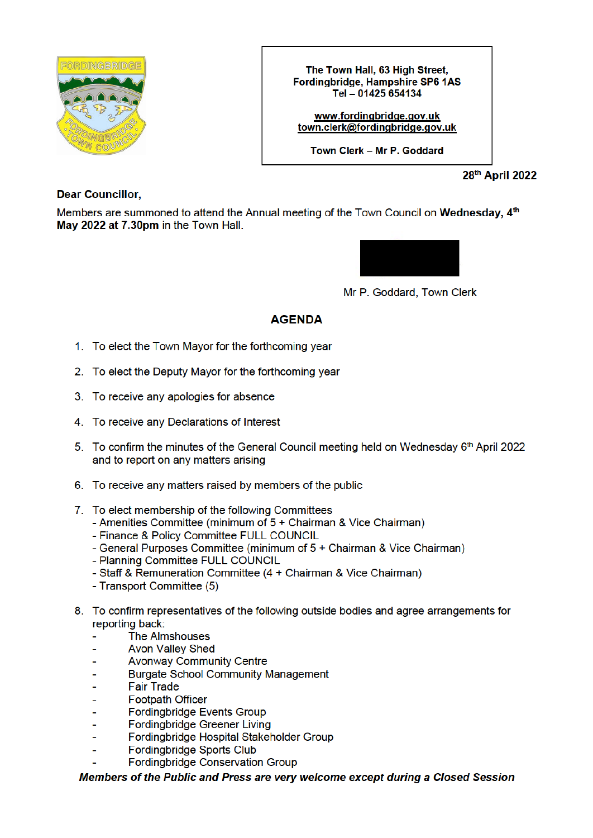

The Town Hall, 63 High Street, Fordingbridge, Hampshire SP6 1AS Tel - 01425 654134

www.fordinabridae.aov.uk town.clerk@fordingbridge.gov.uk

Town Clerk - Mr P. Goddard

28th April 2022

**Dear Councillor.** 

Members are summoned to attend the Annual meeting of the Town Council on Wednesday, 4<sup>th</sup> May 2022 at 7.30pm in the Town Hall.



Mr P. Goddard, Town Clerk

## **AGENDA**

- 1. To elect the Town Mayor for the forthcoming year
- 2. To elect the Deputy Mayor for the forthcoming year
- 3. To receive any apologies for absence
- 4. To receive any Declarations of Interest
- 5. To confirm the minutes of the General Council meeting held on Wednesday 6th April 2022 and to report on any matters arising
- 6. To receive any matters raised by members of the public
- 7. To elect membership of the following Committees
	- Amenities Committee (minimum of 5 + Chairman & Vice Chairman)
	- Finance & Policy Committee FULL COUNCIL
	- General Purposes Committee (minimum of 5 + Chairman & Vice Chairman)
	- Planning Committee FULL COUNCIL
	- Staff & Remuneration Committee (4 + Chairman & Vice Chairman)
	- Transport Committee (5)
- 8. To confirm representatives of the following outside bodies and agree arrangements for reporting back:
	- **The Almshouses**
	- **Avon Valley Shed**
	- **Avonway Community Centre**
	- **Burgate School Community Management**
	- **Fair Trade**  $\overline{a}$
	- **Footpath Officer**
	- **Fordingbridge Events Group** L.
	- **Fordingbridge Greener Living**
	- Fordingbridge Hospital Stakeholder Group
	- **Fordinabridae Sports Club**
	- Fordingbridge Conservation Group

Members of the Public and Press are very welcome except during a Closed Session